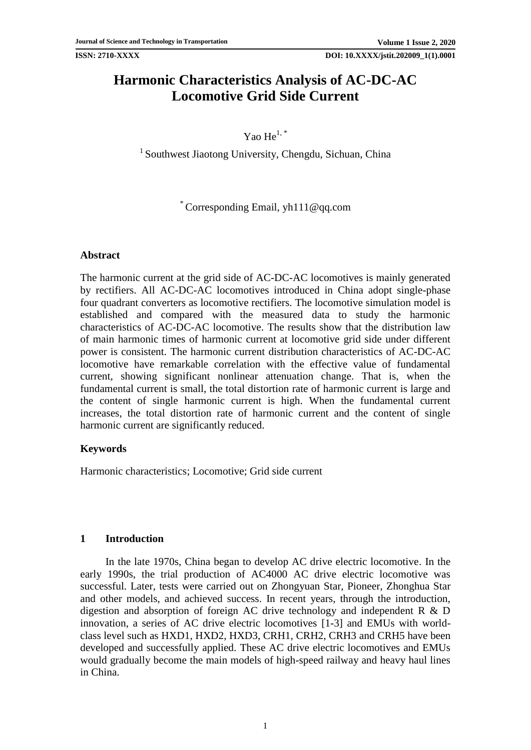# **Harmonic Characteristics Analysis of AC-DC-AC Locomotive Grid Side Current**

# Yao He $^{1, *}$

<sup>1</sup> Southwest Jiaotong University, Chengdu, Sichuan, China

\* Corresponding Email, yh $111@qq$ .com

## **Abstract**

The harmonic current at the grid side of AC-DC-AC locomotives is mainly generated by rectifiers. All AC-DC-AC locomotives introduced in China adopt single-phase four quadrant converters as locomotive rectifiers. The locomotive simulation model is established and compared with the measured data to study the harmonic characteristics of AC-DC-AC locomotive. The results show that the distribution law of main harmonic times of harmonic current at locomotive grid side under different power is consistent. The harmonic current distribution characteristics of AC-DC-AC locomotive have remarkable correlation with the effective value of fundamental current, showing significant nonlinear attenuation change. That is, when the fundamental current is small, the total distortion rate of harmonic current is large and the content of single harmonic current is high. When the fundamental current increases, the total distortion rate of harmonic current and the content of single harmonic current are significantly reduced.

# **Keywords**

Harmonic characteristics; Locomotive; Grid side current

### **1 Introduction**

In the late 1970s, China began to develop AC drive electric locomotive. In the early 1990s, the trial production of AC4000 AC drive electric locomotive was successful. Later, tests were carried out on Zhongyuan Star, Pioneer, Zhonghua Star and other models, and achieved success. In recent years, through the introduction, digestion and absorption of foreign AC drive technology and independent R & D innovation, a series of AC drive electric locomotives [\[1-3\]](#page-9-0) and EMUs with worldclass level such as HXD1, HXD2, HXD3, CRH1, CRH2, CRH3 and CRH5 have been developed and successfully applied. These AC drive electric locomotives and EMUs would gradually become the main models of high-speed railway and heavy haul lines in China.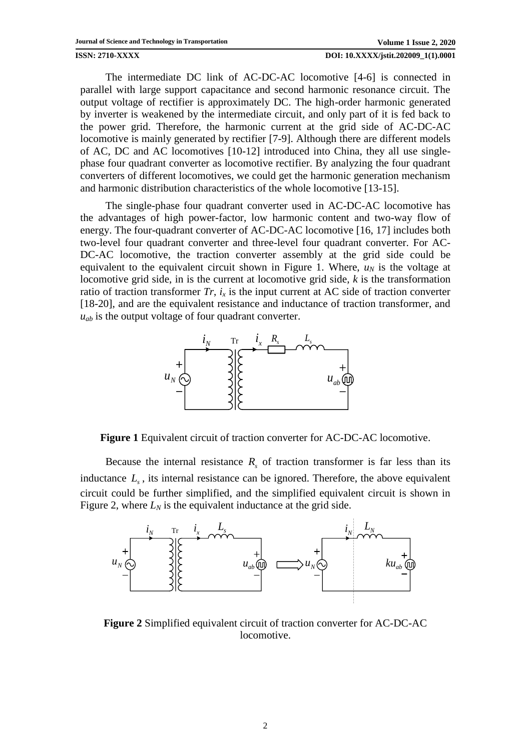The intermediate DC link of AC-DC-AC locomotive [\[4-6\]](#page-9-1) is connected in parallel with large support capacitance and second harmonic resonance circuit. The output voltage of rectifier is approximately DC. The high-order harmonic generated by inverter is weakened by the intermediate circuit, and only part of it is fed back to the power grid. Therefore, the harmonic current at the grid side of AC-DC-AC locomotive is mainly generated by rectifier [\[7-9\]](#page-9-2). Although there are different models of AC, DC and AC locomotives [\[10-12\]](#page-9-3) introduced into China, they all use singlephase four quadrant converter as locomotive rectifier. By analyzing the four quadrant converters of different locomotives, we could get the harmonic generation mechanism and harmonic distribution characteristics of the whole locomotive [\[13-15\]](#page-10-0).

The single-phase four quadrant converter used in AC-DC-AC locomotive has the advantages of high power-factor, low harmonic content and two-way flow of energy. The four-quadrant converter of AC-DC-AC locomotive [\[16,](#page-10-1) [17\]](#page-10-2) includes both two-level four quadrant converter and three-level four quadrant converter. For AC-DC-AC locomotive, the traction converter assembly at the grid side could be equivalent to the equivalent circuit shown in Figure 1. Where,  $u_N$  is the voltage at locomotive grid side, in is the current at locomotive grid side, *k* is the transformation ratio of traction transformer  $Tr$ ,  $i_x$  is the input current at AC side of traction converter [\[18-20\]](#page-10-3), and are the equivalent resistance and inductance of traction transformer, and *uab* is the output voltage of four quadrant converter.



**Figure 1** Equivalent circuit of traction converter for AC-DC-AC locomotive.

Because the internal resistance  $R<sub>s</sub>$  of traction transformer is far less than its inductance  $L<sub>s</sub>$ , its internal resistance can be ignored. Therefore, the above equivalent circuit could be further simplified, and the simplified equivalent circuit is shown in Figure 2, where  $L_N$  is the equivalent inductance at the grid side.



**Figure 2** Simplified equivalent circuit of traction converter for AC-DC-AC locomotive.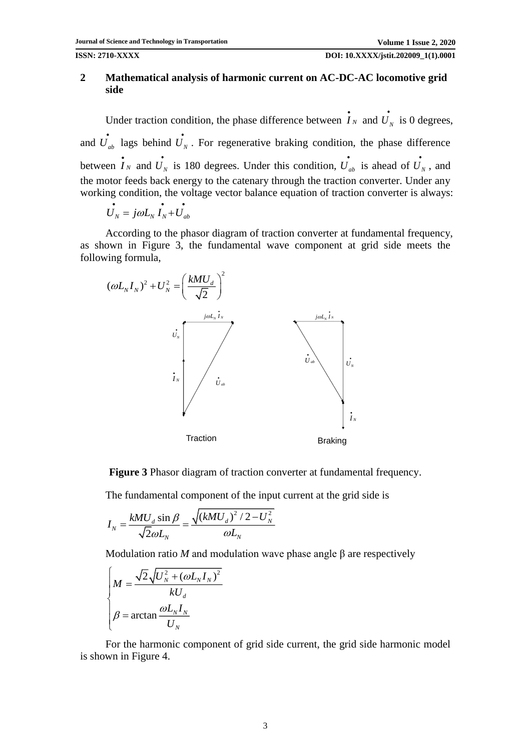# **2 Mathematical analysis of harmonic current on AC-DC-AC locomotive grid side**

Under traction condition, the phase difference between  $\dot{I}_N$  and  $\dot{U}_N$  is 0 degrees, and  $\vec{U}_{ab}$  lags behind  $\vec{U}_N$ . For regenerative braking condition, the phase difference between  $I_N$  and  $U_N$  is 180 degrees. Under this condition,  $U_{ab}$  is ahead of  $U_N$ , and the motor feeds back energy to the catenary through the traction converter. Under any working condition, the voltage vector balance equation of traction converter is always:

$$
\boldsymbol{U}_N = j\omega \boldsymbol{L}_N \boldsymbol{I}_N + \boldsymbol{U}_{ab}
$$

According to the phasor diagram of traction converter at fundamental frequency, as shown in Figure 3, the fundamental wave component at grid side meets the following formula,



**Figure 3** Phasor diagram of traction converter at fundamental frequency.

The fundamental component of the input current at the grid side is  
\n
$$
I_N = \frac{kMU_d \sin \beta}{\sqrt{2}\omega L_N} = \frac{\sqrt{(kMU_d)^2/2 - U_N^2}}{\omega L_N}
$$

Modulation ratio *M* and modulation wave phase angle  $\beta$  are respectively

$$
\begin{cases}\nM = \frac{\sqrt{2}\sqrt{U_N^2 + (\omega L_N I_N)^2}}{kU_d} \\
\beta = \arctan \frac{\omega L_N I_N}{U_N}\n\end{cases}
$$

For the harmonic component of grid side current, the grid side harmonic model is shown in Figure 4.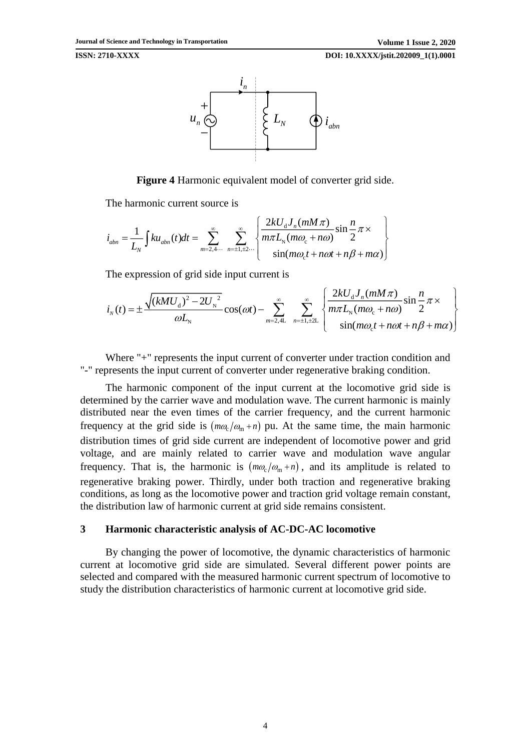

**Figure 4** Harmonic equivalent model of converter grid side.

The harmonic current source is

The harmonic current source is  
\n
$$
i_{abn} = \frac{1}{L_N} \int k u_{abn}(t) dt = \sum_{m=2,4...}^{\infty} \sum_{n=1, \pm 2...}^{\infty} \left\{ \frac{2k U_d J_n(mM\pi)}{m\pi L_N(m\omega_c + n\omega)} \sin\frac{n}{2} \pi \times \sin(m\omega_c t + n\omega t + n\beta + m\alpha) \right\}
$$

$$
L_{N} \int_{m=2,4...}^{m=2,4...} \frac{1}{n=1,2...} \left[ \frac{\sin(m\omega_{c}t + n\omega t + n\beta + m\alpha)}{\sin(m\omega_{c}t + n\omega t + n\beta + m\alpha)} \right]
$$
  
The expression of grid side input current is  

$$
i_{N}(t) = \pm \frac{\sqrt{(kMU_{d})^{2} - 2U_{N}^{2}}}{\omega L_{N}} \cos(\omega t) - \sum_{m=2,4...}^{\infty} \sum_{n=1,2...}^{\infty} \left\{ \frac{2kU_{d}J_{n}(mM\pi)}{m\pi L_{N}(m\omega_{c} + n\omega)} \sin \frac{n}{2} \pi \times \frac{1}{2} \sin(m\omega_{c}t + n\omega t + n\beta + m\alpha) \right\}
$$

Where "+" represents the input current of converter under traction condition and "-" represents the input current of converter under regenerative braking condition.

The harmonic component of the input current at the locomotive grid side is determined by the carrier wave and modulation wave. The current harmonic is mainly distributed near the even times of the carrier frequency, and the current harmonic frequency at the grid side is  $(m\omega_c/\omega_m + n)$  pu. At the same time, the main harmonic distribution times of grid side current are independent of locomotive power and grid voltage, and are mainly related to carrier wave and modulation wave angular frequency. That is, the harmonic is  $(m\omega_c/\omega_m + n)$ , and its amplitude is related to regenerative braking power. Thirdly, under both traction and regenerative braking conditions, as long as the locomotive power and traction grid voltage remain constant, the distribution law of harmonic current at grid side remains consistent.

## **3 Harmonic characteristic analysis of AC-DC-AC locomotive**

By changing the power of locomotive, the dynamic characteristics of harmonic current at locomotive grid side are simulated. Several different power points are selected and compared with the measured harmonic current spectrum of locomotive to study the distribution characteristics of harmonic current at locomotive grid side.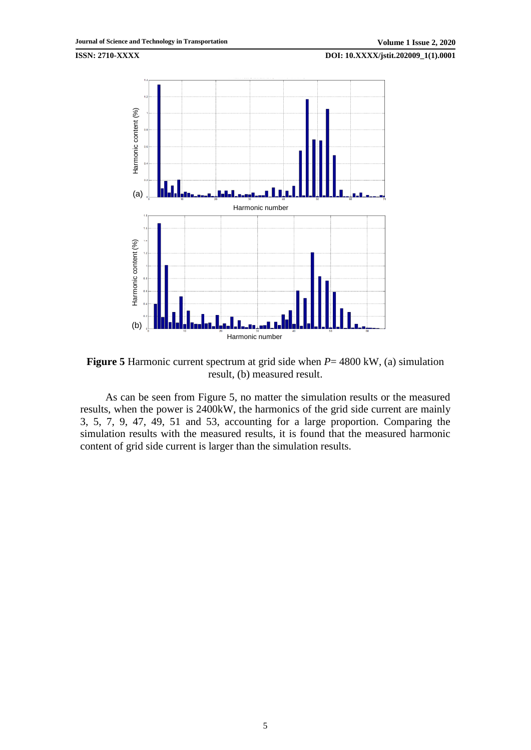

**Figure 5** Harmonic current spectrum at grid side when *P*= 4800 kW, (a) simulation result, (b) measured result.

As can be seen from Figure 5, no matter the simulation results or the measured results, when the power is 2400kW, the harmonics of the grid side current are mainly 3, 5, 7, 9, 47, 49, 51 and 53, accounting for a large proportion. Comparing the simulation results with the measured results, it is found that the measured harmonic content of grid side current is larger than the simulation results.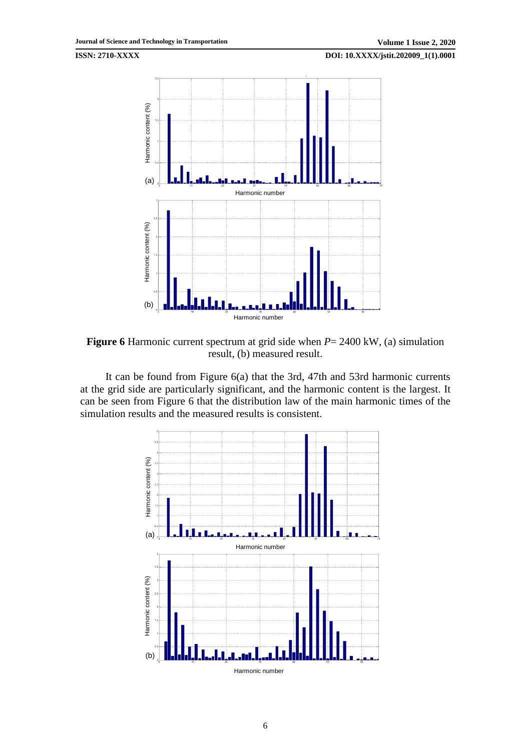

**Figure 6** Harmonic current spectrum at grid side when *P*= 2400 kW, (a) simulation result, (b) measured result.

It can be found from Figure 6(a) that the 3rd, 47th and 53rd harmonic currents at the grid side are particularly significant, and the harmonic content is the largest. It can be seen from Figure 6 that the distribution law of the main harmonic times of the simulation results and the measured results is consistent.

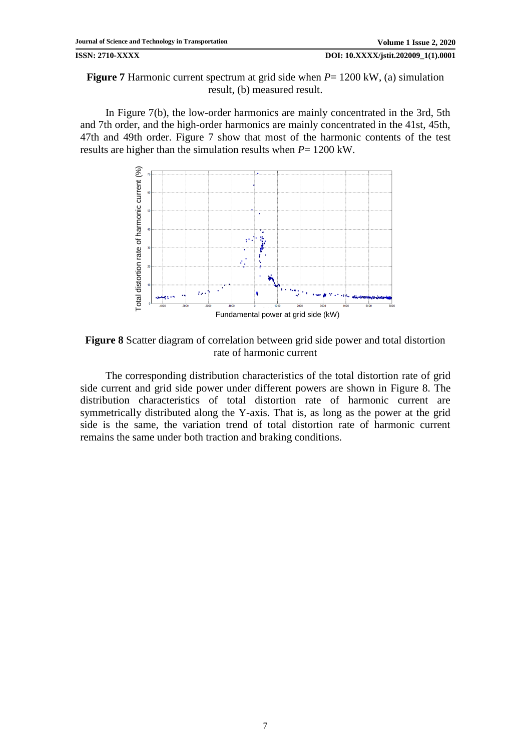**Figure 7** Harmonic current spectrum at grid side when *P*= 1200 kW, (a) simulation result, (b) measured result.

In Figure 7(b), the low-order harmonics are mainly concentrated in the 3rd, 5th and 7th order, and the high-order harmonics are mainly concentrated in the 41st, 45th, 47th and 49th order. Figure 7 show that most of the harmonic contents of the test results are higher than the simulation results when *P*= 1200 kW.



**Figure 8** Scatter diagram of correlation between grid side power and total distortion rate of harmonic current

The corresponding distribution characteristics of the total distortion rate of grid side current and grid side power under different powers are shown in Figure 8. The distribution characteristics of total distortion rate of harmonic current are symmetrically distributed along the Y-axis. That is, as long as the power at the grid side is the same, the variation trend of total distortion rate of harmonic current remains the same under both traction and braking conditions.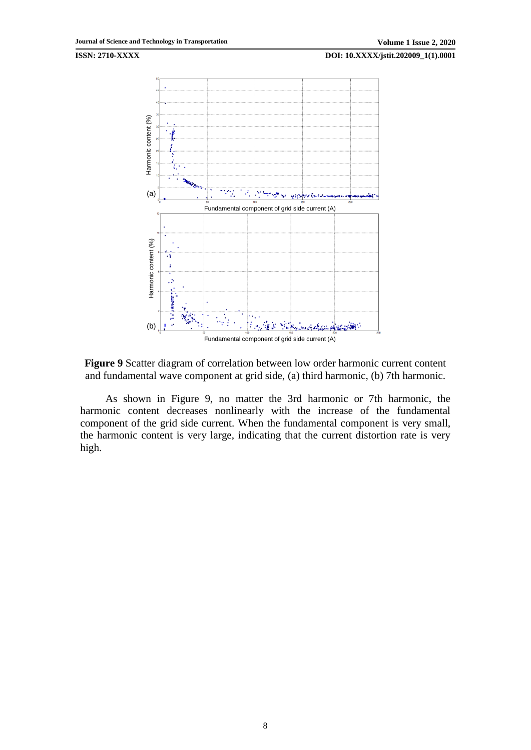



As shown in Figure 9, no matter the 3rd harmonic or 7th harmonic, the harmonic content decreases nonlinearly with the increase of the fundamental component of the grid side current. When the fundamental component is very small, the harmonic content is very large, indicating that the current distortion rate is very high.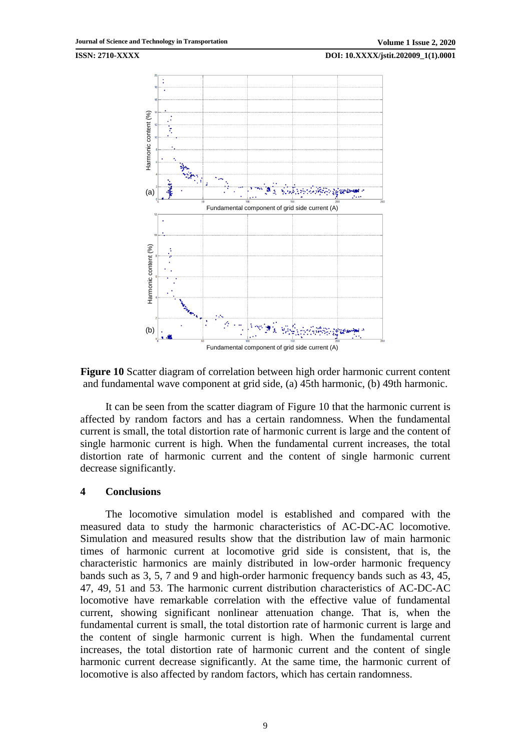



It can be seen from the scatter diagram of Figure 10 that the harmonic current is affected by random factors and has a certain randomness. When the fundamental current is small, the total distortion rate of harmonic current is large and the content of single harmonic current is high. When the fundamental current increases, the total distortion rate of harmonic current and the content of single harmonic current decrease significantly.

### **4 Conclusions**

The locomotive simulation model is established and compared with the measured data to study the harmonic characteristics of AC-DC-AC locomotive. Simulation and measured results show that the distribution law of main harmonic times of harmonic current at locomotive grid side is consistent, that is, the characteristic harmonics are mainly distributed in low-order harmonic frequency bands such as 3, 5, 7 and 9 and high-order harmonic frequency bands such as 43, 45, 47, 49, 51 and 53. The harmonic current distribution characteristics of AC-DC-AC locomotive have remarkable correlation with the effective value of fundamental current, showing significant nonlinear attenuation change. That is, when the fundamental current is small, the total distortion rate of harmonic current is large and the content of single harmonic current is high. When the fundamental current increases, the total distortion rate of harmonic current and the content of single harmonic current decrease significantly. At the same time, the harmonic current of locomotive is also affected by random factors, which has certain randomness.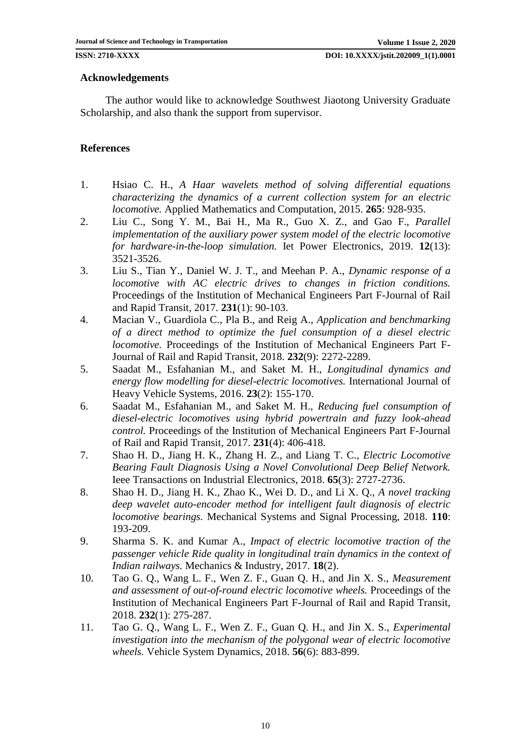### **Acknowledgements**

The author would like to acknowledge Southwest Jiaotong University Graduate Scholarship, and also thank the support from supervisor.

# **References**

- <span id="page-9-0"></span>1. Hsiao C. H., *A Haar wavelets method of solving differential equations characterizing the dynamics of a current collection system for an electric locomotive.* Applied Mathematics and Computation, 2015. **265**: 928-935.
- 2. Liu C., Song Y. M., Bai H., Ma R., Guo X. Z., and Gao F., *Parallel implementation of the auxiliary power system model of the electric locomotive for hardware-in-the-loop simulation.* Iet Power Electronics, 2019. **12**(13): 3521-3526.
- 3. Liu S., Tian Y., Daniel W. J. T., and Meehan P. A., *Dynamic response of a locomotive with AC electric drives to changes in friction conditions.* Proceedings of the Institution of Mechanical Engineers Part F-Journal of Rail and Rapid Transit, 2017. **231**(1): 90-103.
- <span id="page-9-1"></span>4. Macian V., Guardiola C., Pla B., and Reig A., *Application and benchmarking of a direct method to optimize the fuel consumption of a diesel electric locomotive.* Proceedings of the Institution of Mechanical Engineers Part F-Journal of Rail and Rapid Transit, 2018. **232**(9): 2272-2289.
- 5. Saadat M., Esfahanian M., and Saket M. H., *Longitudinal dynamics and energy flow modelling for diesel-electric locomotives.* International Journal of Heavy Vehicle Systems, 2016. **23**(2): 155-170.
- 6. Saadat M., Esfahanian M., and Saket M. H., *Reducing fuel consumption of diesel-electric locomotives using hybrid powertrain and fuzzy look-ahead control.* Proceedings of the Institution of Mechanical Engineers Part F-Journal of Rail and Rapid Transit, 2017. **231**(4): 406-418.
- <span id="page-9-2"></span>7. Shao H. D., Jiang H. K., Zhang H. Z., and Liang T. C., *Electric Locomotive Bearing Fault Diagnosis Using a Novel Convolutional Deep Belief Network.* Ieee Transactions on Industrial Electronics, 2018. **65**(3): 2727-2736.
- 8. Shao H. D., Jiang H. K., Zhao K., Wei D. D., and Li X. Q., *A novel tracking deep wavelet auto-encoder method for intelligent fault diagnosis of electric locomotive bearings.* Mechanical Systems and Signal Processing, 2018. **110**: 193-209.
- 9. Sharma S. K. and Kumar A., *Impact of electric locomotive traction of the passenger vehicle Ride quality in longitudinal train dynamics in the context of Indian railways.* Mechanics & Industry, 2017. **18**(2).
- <span id="page-9-3"></span>10. Tao G. Q., Wang L. F., Wen Z. F., Guan Q. H., and Jin X. S., *Measurement and assessment of out-of-round electric locomotive wheels.* Proceedings of the Institution of Mechanical Engineers Part F-Journal of Rail and Rapid Transit, 2018. **232**(1): 275-287.
- 11. Tao G. Q., Wang L. F., Wen Z. F., Guan Q. H., and Jin X. S., *Experimental investigation into the mechanism of the polygonal wear of electric locomotive wheels.* Vehicle System Dynamics, 2018. **56**(6): 883-899.